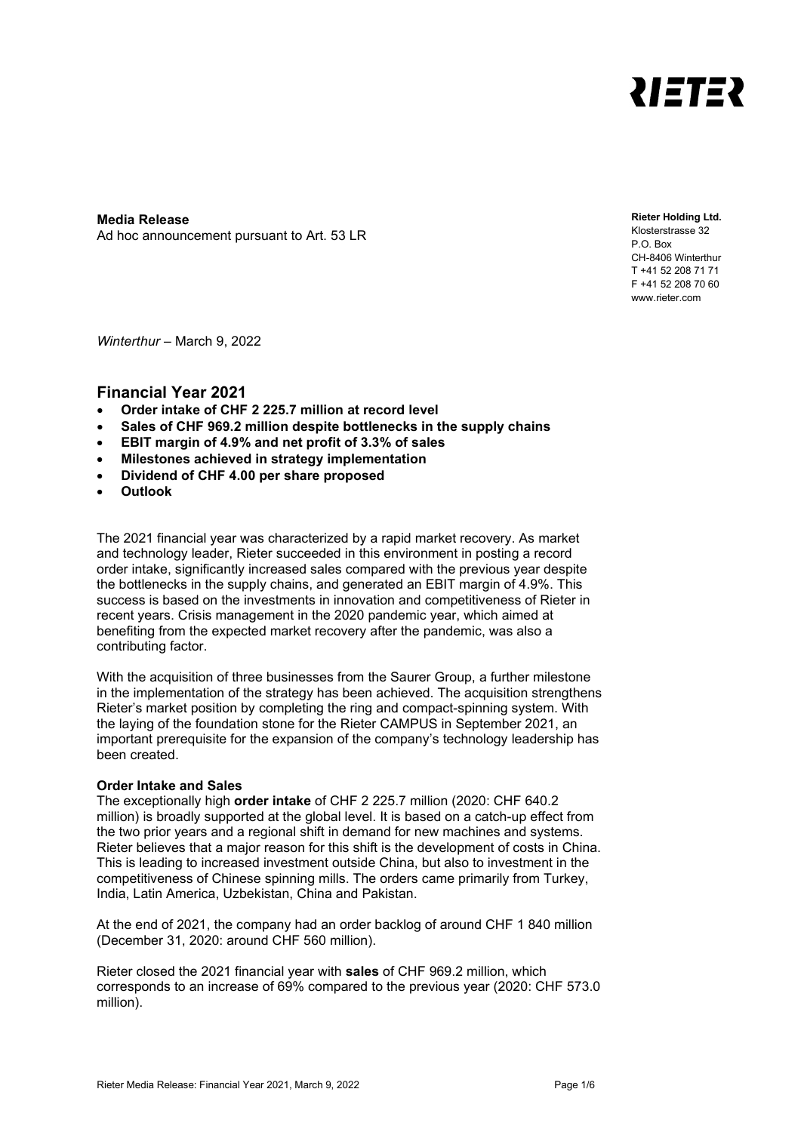

**Media Release** Ad hoc announcement pursuant to Art. 53 LR **Rieter Holding Ltd.**

Klosterstrasse 32 P.O. Box CH-8406 Winterthur T +41 52 208 71 71 F +41 52 208 70 60 www.rieter.com

*Winterthur* – March 9, 2022

### **Financial Year 2021**

- **Order intake of CHF 2 225.7 million at record level**
- **Sales of CHF 969.2 million despite bottlenecks in the supply chains**
- **EBIT margin of 4.9% and net profit of 3.3% of sales**
- **Milestones achieved in strategy implementation**
- **Dividend of CHF 4.00 per share proposed**
- **Outlook**

The 2021 financial year was characterized by a rapid market recovery. As market and technology leader, Rieter succeeded in this environment in posting a record order intake, significantly increased sales compared with the previous year despite the bottlenecks in the supply chains, and generated an EBIT margin of 4.9%. This success is based on the investments in innovation and competitiveness of Rieter in recent years. Crisis management in the 2020 pandemic year, which aimed at benefiting from the expected market recovery after the pandemic, was also a contributing factor.

With the acquisition of three businesses from the Saurer Group, a further milestone in the implementation of the strategy has been achieved. The acquisition strengthens Rieter's market position by completing the ring and compact-spinning system. With the laying of the foundation stone for the Rieter CAMPUS in September 2021, an important prerequisite for the expansion of the company's technology leadership has been created.

#### **Order Intake and Sales**

The exceptionally high **order intake** of CHF 2 225.7 million (2020: CHF 640.2 million) is broadly supported at the global level. It is based on a catch-up effect from the two prior years and a regional shift in demand for new machines and systems. Rieter believes that a major reason for this shift is the development of costs in China. This is leading to increased investment outside China, but also to investment in the competitiveness of Chinese spinning mills. The orders came primarily from Turkey, India, Latin America, Uzbekistan, China and Pakistan.

At the end of 2021, the company had an order backlog of around CHF 1 840 million (December 31, 2020: around CHF 560 million).

Rieter closed the 2021 financial year with **sales** of CHF 969.2 million, which corresponds to an increase of 69% compared to the previous year (2020: CHF 573.0 million).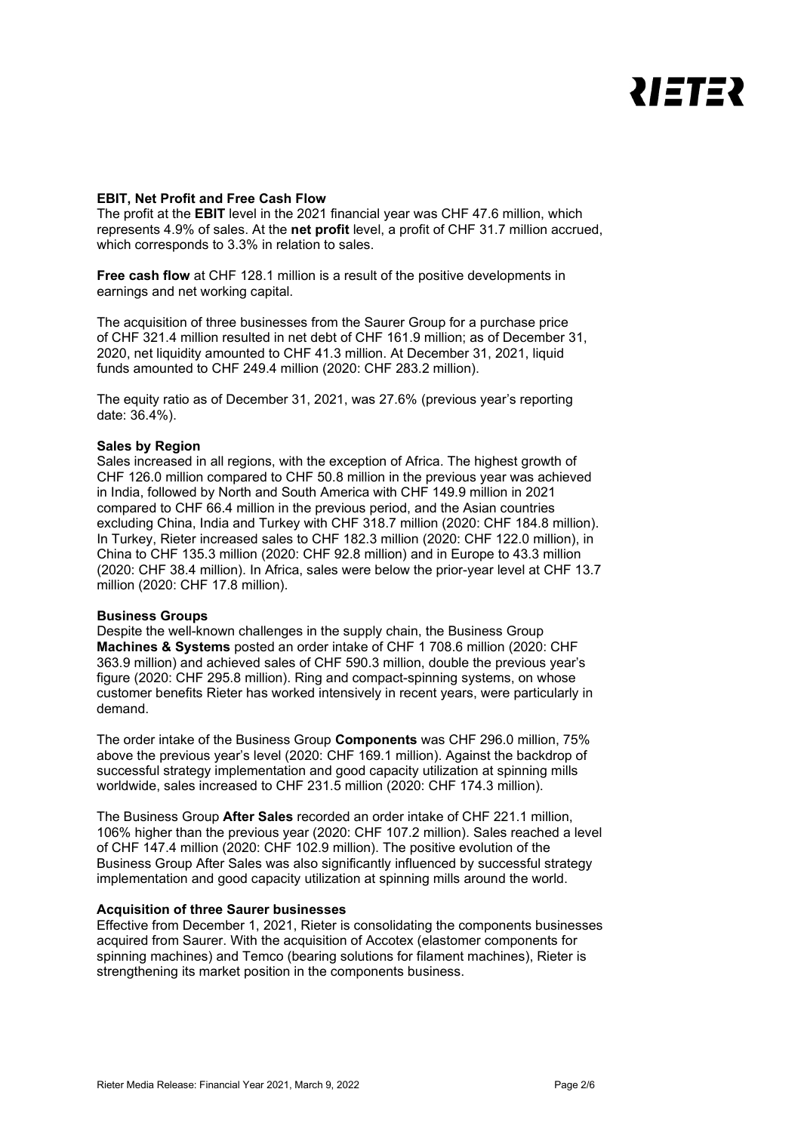# **ZIETEZ**

#### **EBIT, Net Profit and Free Cash Flow**

The profit at the **EBIT** level in the 2021 financial year was CHF 47.6 million, which represents 4.9% of sales. At the **net profit** level, a profit of CHF 31.7 million accrued, which corresponds to 3.3% in relation to sales.

**Free cash flow** at CHF 128.1 million is a result of the positive developments in earnings and net working capital.

The acquisition of three businesses from the Saurer Group for a purchase price of CHF 321.4 million resulted in net debt of CHF 161.9 million; as of December 31, 2020, net liquidity amounted to CHF 41.3 million. At December 31, 2021, liquid funds amounted to CHF 249.4 million (2020: CHF 283.2 million).

The equity ratio as of December 31, 2021, was 27.6% (previous year's reporting date: 36.4%).

#### **Sales by Region**

Sales increased in all regions, with the exception of Africa. The highest growth of CHF 126.0 million compared to CHF 50.8 million in the previous year was achieved in India, followed by North and South America with CHF 149.9 million in 2021 compared to CHF 66.4 million in the previous period, and the Asian countries excluding China, India and Turkey with CHF 318.7 million (2020: CHF 184.8 million). In Turkey, Rieter increased sales to CHF 182.3 million (2020: CHF 122.0 million), in China to CHF 135.3 million (2020: CHF 92.8 million) and in Europe to 43.3 million (2020: CHF 38.4 million). In Africa, sales were below the prior-year level at CHF 13.7 million (2020: CHF 17.8 million).

#### **Business Groups**

Despite the well-known challenges in the supply chain, the Business Group **Machines & Systems** posted an order intake of CHF 1 708.6 million (2020: CHF 363.9 million) and achieved sales of CHF 590.3 million, double the previous year's figure (2020: CHF 295.8 million). Ring and compact-spinning systems, on whose customer benefits Rieter has worked intensively in recent years, were particularly in demand.

The order intake of the Business Group **Components** was CHF 296.0 million, 75% above the previous year's level (2020: CHF 169.1 million). Against the backdrop of successful strategy implementation and good capacity utilization at spinning mills worldwide, sales increased to CHF 231.5 million (2020: CHF 174.3 million).

The Business Group **After Sales** recorded an order intake of CHF 221.1 million, 106% higher than the previous year (2020: CHF 107.2 million). Sales reached a level of CHF 147.4 million (2020: CHF 102.9 million). The positive evolution of the Business Group After Sales was also significantly influenced by successful strategy implementation and good capacity utilization at spinning mills around the world.

#### **Acquisition of three Saurer businesses**

Effective from December 1, 2021, Rieter is consolidating the components businesses acquired from Saurer. With the acquisition of Accotex (elastomer components for spinning machines) and Temco (bearing solutions for filament machines), Rieter is strengthening its market position in the components business.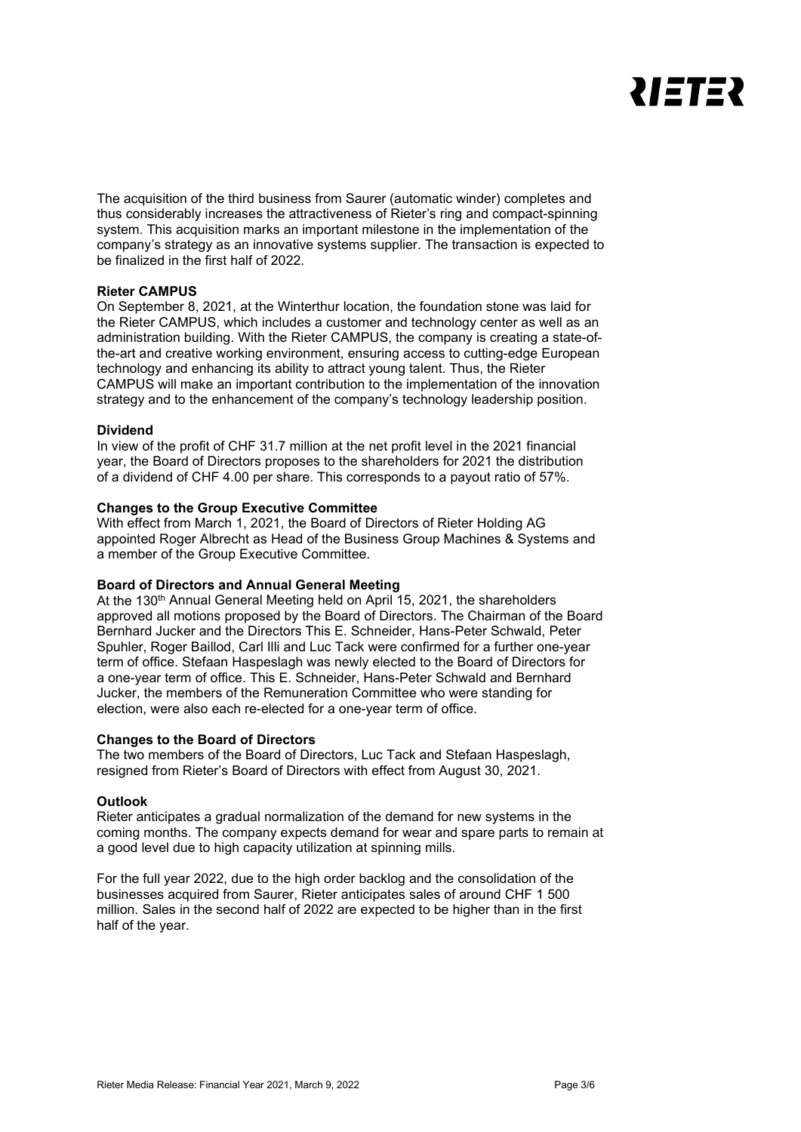

The acquisition of the third business from Saurer (automatic winder) completes and thus considerably increases the attractiveness of Rieter's ring and compact-spinning system. This acquisition marks an important milestone in the implementation of the company's strategy as an innovative systems supplier. The transaction is expected to be finalized in the first half of 2022.

#### **Rieter CAMPUS**

On September 8, 2021, at the Winterthur location, the foundation stone was laid for the Rieter CAMPUS, which includes a customer and technology center as well as an administration building. With the Rieter CAMPUS, the company is creating a state-ofthe-art and creative working environment, ensuring access to cutting-edge European technology and enhancing its ability to attract young talent. Thus, the Rieter CAMPUS will make an important contribution to the implementation of the innovation strategy and to the enhancement of the company's technology leadership position.

#### **Dividend**

In view of the profit of CHF 31.7 million at the net profit level in the 2021 financial year, the Board of Directors proposes to the shareholders for 2021 the distribution of a dividend of CHF 4.00 per share. This corresponds to a payout ratio of 57%.

#### **Changes to the Group Executive Committee**

With effect from March 1, 2021, the Board of Directors of Rieter Holding AG appointed Roger Albrecht as Head of the Business Group Machines & Systems and a member of the Group Executive Committee.

#### **Board of Directors and Annual General Meeting**

At the 130<sup>th</sup> Annual General Meeting held on April 15, 2021, the shareholders approved all motions proposed by the Board of Directors. The Chairman of the Board Bernhard Jucker and the Directors This E. Schneider, Hans-Peter Schwald, Peter Spuhler, Roger Baillod, Carl Illi and Luc Tack were confirmed for a further one-year term of office. Stefaan Haspeslagh was newly elected to the Board of Directors for a one-year term of office. This E. Schneider, Hans-Peter Schwald and Bernhard Jucker, the members of the Remuneration Committee who were standing for election, were also each re-elected for a one-year term of office.

#### **Changes to the Board of Directors**

The two members of the Board of Directors, Luc Tack and Stefaan Haspeslagh, resigned from Rieter's Board of Directors with effect from August 30, 2021.

#### **Outlook**

Rieter anticipates a gradual normalization of the demand for new systems in the coming months. The company expects demand for wear and spare parts to remain at a good level due to high capacity utilization at spinning mills.

For the full year 2022, due to the high order backlog and the consolidation of the businesses acquired from Saurer, Rieter anticipates sales of around CHF 1 500 million. Sales in the second half of 2022 are expected to be higher than in the first half of the year.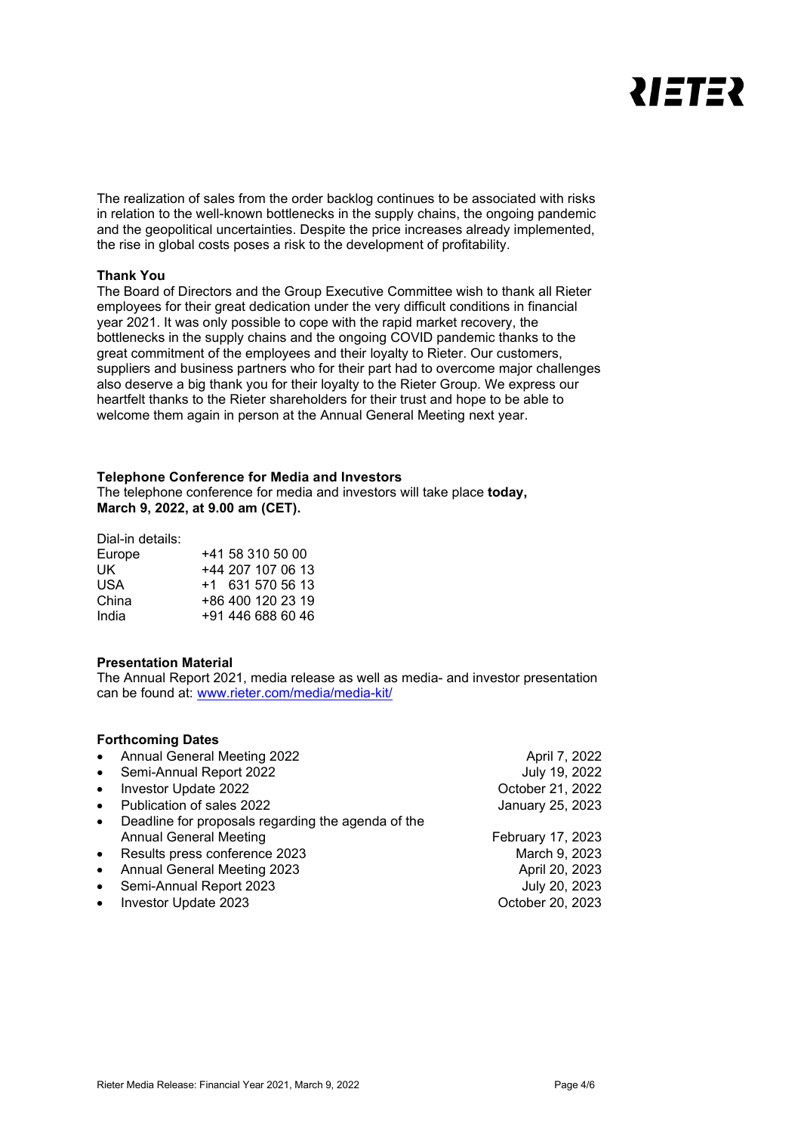

The realization of sales from the order backlog continues to be associated with risks in relation to the well-known bottlenecks in the supply chains, the ongoing pandemic and the geopolitical uncertainties. Despite the price increases already implemented, the rise in global costs poses a risk to the development of profitability.

#### **Thank You**

The Board of Directors and the Group Executive Committee wish to thank all Rieter employees for their great dedication under the very difficult conditions in financial year 2021. It was only possible to cope with the rapid market recovery, the bottlenecks in the supply chains and the ongoing COVID pandemic thanks to the great commitment of the employees and their loyalty to Rieter. Our customers, suppliers and business partners who for their part had to overcome major challenges also deserve a big thank you for their loyalty to the Rieter Group. We express our heartfelt thanks to the Rieter shareholders for their trust and hope to be able to welcome them again in person at the Annual General Meeting next year.

#### **Telephone Conference for Media and Investors**

The telephone conference for media and investors will take place **today, March 9, 2022, at 9.00 am (CET).**

Dial-in details:

|  |  | +41 58 310 50 00<br>+44 207 107 06 13<br>$+1$ 631 570 56 13<br>+86 400 120 23 19<br>+91 446 688 60 46 |
|--|--|-------------------------------------------------------------------------------------------------------|

#### **Presentation Material**

The Annual Report 2021, media release as well as media- and investor presentation can be found at: [www.rieter.com/media/media-kit/](https://www.rieter.com/media/media-kit/)

#### **Forthcoming Dates**

|           | • Annual General Meeting 2022                      | April 7, 2022     |
|-----------|----------------------------------------------------|-------------------|
| $\bullet$ | Semi-Annual Report 2022                            | July 19, 2022     |
| $\bullet$ | Investor Update 2022                               | October 21, 2022  |
| $\bullet$ | Publication of sales 2022                          | January 25, 2023  |
| $\bullet$ | Deadline for proposals regarding the agenda of the |                   |
|           | <b>Annual General Meeting</b>                      | February 17, 2023 |
|           | • Results press conference 2023                    | March 9, 2023     |
| $\bullet$ | <b>Annual General Meeting 2023</b>                 | April 20, 2023    |
| $\bullet$ | Semi-Annual Report 2023                            | July 20, 2023     |
| $\bullet$ | Investor Update 2023                               | October 20, 2023  |
|           |                                                    |                   |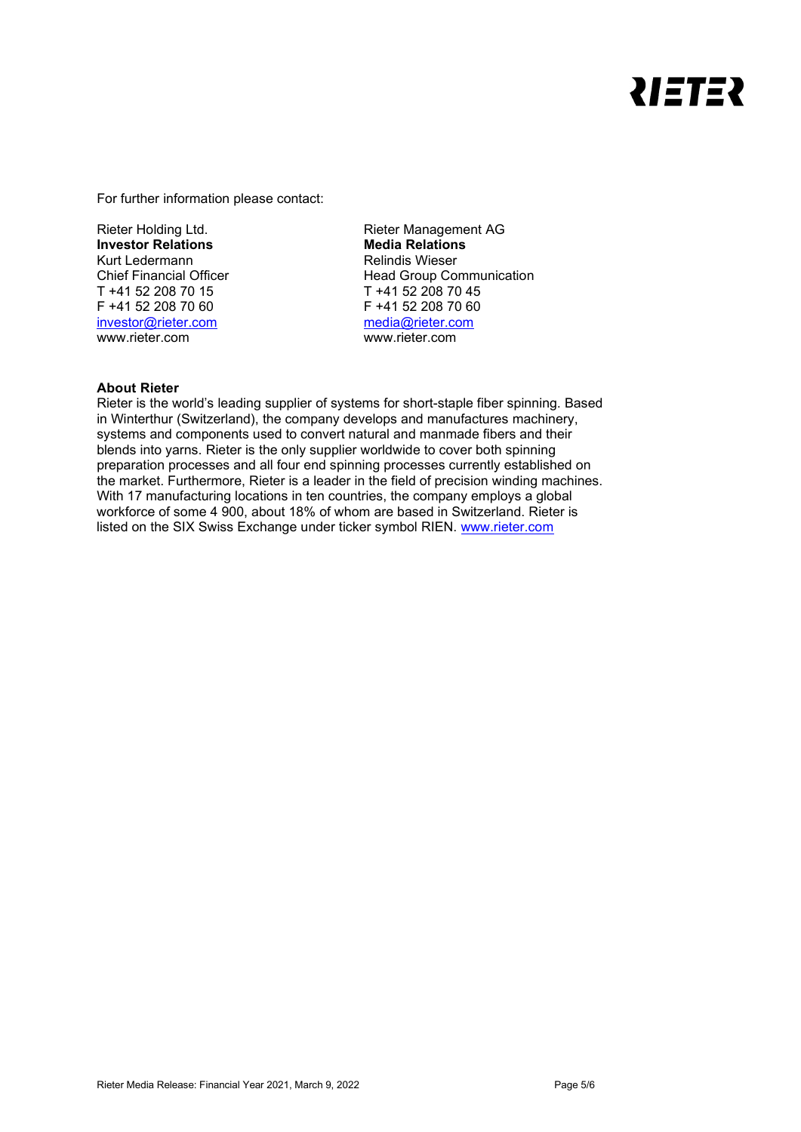# **ZIETEZ**

For further information please contact:

Rieter Holding Ltd. **Investor Relations** Kurt Ledermann Chief Financial Officer T +41 52 208 70 15 F +41 52 208 70 60 [investor@rieter.com](mailto:investor@rieter.com) www.rieter.com

Rieter Management AG **Media Relations** Relindis Wieser Head Group Communication T +41 52 208 70 45 F +41 52 208 70 60 [media@rieter.com](mailto:media@rieter.com) www.rieter.com

### **About Rieter**

Rieter is the world's leading supplier of systems for short-staple fiber spinning. Based in Winterthur (Switzerland), the company develops and manufactures machinery, systems and components used to convert natural and manmade fibers and their blends into yarns. Rieter is the only supplier worldwide to cover both spinning preparation processes and all four end spinning processes currently established on the market. Furthermore, Rieter is a leader in the field of precision winding machines. With 17 manufacturing locations in ten countries, the company employs a global workforce of some 4 900, about 18% of whom are based in Switzerland. Rieter is listed on the SIX Swiss Exchange under ticker symbol RIEN. [www.rieter.com](http://www.rieter.com/)